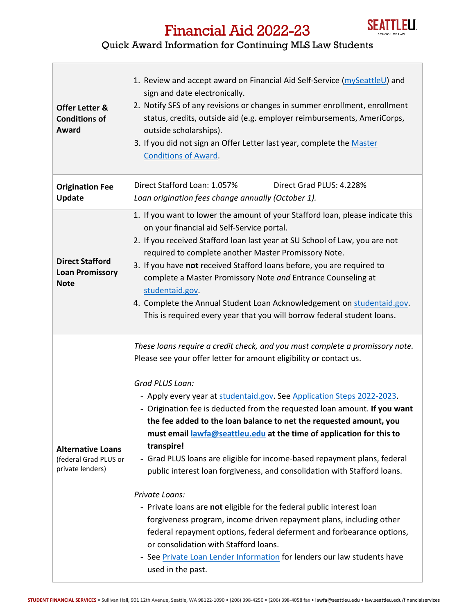

## Financial Aid 2022-23

## Quick Award Information for Continuing MLS Law Students

| <b>Offer Letter &amp;</b><br><b>Conditions of</b><br>Award            | 1. Review and accept award on Financial Aid Self-Service (mySeattleU) and<br>sign and date electronically.<br>2. Notify SFS of any revisions or changes in summer enrollment, enrollment<br>status, credits, outside aid (e.g. employer reimbursements, AmeriCorps,<br>outside scholarships).<br>3. If you did not sign an Offer Letter last year, complete the Master<br><b>Conditions of Award.</b>                                                                                                                                                                                                                                                                                                                                                                                                                                                                                                                                                                                                                                |
|-----------------------------------------------------------------------|--------------------------------------------------------------------------------------------------------------------------------------------------------------------------------------------------------------------------------------------------------------------------------------------------------------------------------------------------------------------------------------------------------------------------------------------------------------------------------------------------------------------------------------------------------------------------------------------------------------------------------------------------------------------------------------------------------------------------------------------------------------------------------------------------------------------------------------------------------------------------------------------------------------------------------------------------------------------------------------------------------------------------------------|
| <b>Origination Fee</b><br><b>Update</b>                               | Direct Stafford Loan: 1.057%<br>Direct Grad PLUS: 4.228%<br>Loan origination fees change annually (October 1).                                                                                                                                                                                                                                                                                                                                                                                                                                                                                                                                                                                                                                                                                                                                                                                                                                                                                                                       |
| <b>Direct Stafford</b><br><b>Loan Promissory</b><br><b>Note</b>       | 1. If you want to lower the amount of your Stafford loan, please indicate this<br>on your financial aid Self-Service portal.<br>2. If you received Stafford loan last year at SU School of Law, you are not<br>required to complete another Master Promissory Note.<br>3. If you have not received Stafford loans before, you are required to<br>complete a Master Promissory Note and Entrance Counseling at<br>studentaid.gov.<br>4. Complete the Annual Student Loan Acknowledgement on studentaid.gov.<br>This is required every year that you will borrow federal student loans.                                                                                                                                                                                                                                                                                                                                                                                                                                                |
| <b>Alternative Loans</b><br>(federal Grad PLUS or<br>private lenders) | These loans require a credit check, and you must complete a promissory note.<br>Please see your offer letter for amount eligibility or contact us.<br>Grad PLUS Loan:<br>- Apply every year at studentaid.gov. See Application Steps 2022-2023.<br>- Origination fee is deducted from the requested loan amount. If you want<br>the fee added to the loan balance to net the requested amount, you<br>must email lawfa@seattleu.edu at the time of application for this to<br>transpire!<br>- Grad PLUS loans are eligible for income-based repayment plans, federal<br>public interest loan forgiveness, and consolidation with Stafford loans.<br>Private Loans:<br>- Private loans are not eligible for the federal public interest loan<br>forgiveness program, income driven repayment plans, including other<br>federal repayment options, federal deferment and forbearance options,<br>or consolidation with Stafford loans.<br>- See Private Loan Lender Information for lenders our law students have<br>used in the past. |